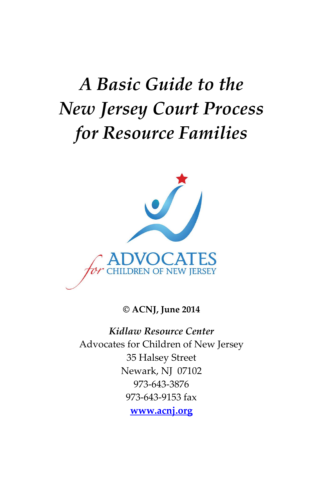# *A Basic Guide to the New Jersey Court Process for Resource Families*



**© ACNJ, June 2014**

*Kidlaw Resource Center* Advocates for Children of New Jersey 35 Halsey Street Newark, NJ 07102 973-643-3876 973-643-9153 fax **[www.acnj.org](http://www.acnj.org/)**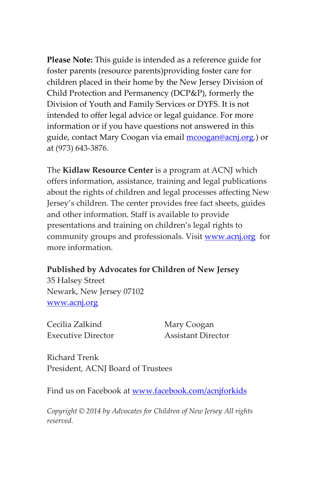**Please Note:** This guide is intended as a reference guide for foster parents (resource parents)providing foster care for children placed in their home by the New Jersey Division of Child Protection and Permanency (DCP&P), formerly the Division of Youth and Family Services or DYFS. It is not intended to offer legal advice or legal guidance. For more information or if you have questions not answered in this guide, contact Mary Coogan via email [mcoogan@acnj.org.](mailto:mcoogan@acnj.org)) or at (973) 643-3876.

The **Kidlaw Resource Center** is a program at ACNJ which offers information, assistance, training and legal publications about the rights of children and legal processes affecting New Jersey's children. The center provides free fact sheets, guides and other information. Staff is available to provide presentations and training on children's legal rights to community groups and professionals. Visit [www.acnj.org](http://www.acnj.org/) for more information.

#### **Published by Advocates for Children of New Jersey**

35 Halsey Street Newark, New Jersey 07102 [www.acnj.org](http://www.acnj.org/)

Cecilia Zalkind Mary Coogan Executive Director Assistant Director

Richard Trenk President, ACNJ Board of Trustees

Find us on Facebook at [www.facebook.com/acnjforkids](http://www.facebook.com/acnjforkids)

*Copyright © 2014 by Advocates for Children of New Jersey All rights reserved.*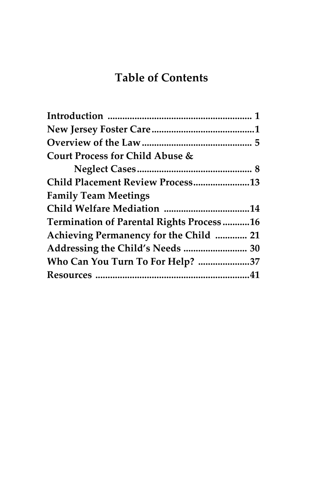# **Table of Contents**

| Court Process for Child Abuse &                 |  |
|-------------------------------------------------|--|
|                                                 |  |
| Child Placement Review Process13                |  |
| <b>Family Team Meetings</b>                     |  |
| Child Welfare Mediation 14                      |  |
| <b>Termination of Parental Rights Process16</b> |  |
| Achieving Permanency for the Child  21          |  |
| Addressing the Child's Needs  30                |  |
| Who Can You Turn To For Help? 37                |  |
|                                                 |  |
|                                                 |  |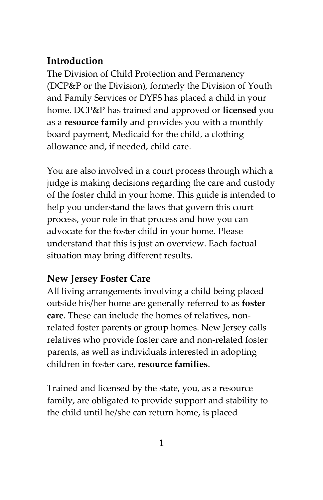# **Introduction**

The Division of Child Protection and Permanency (DCP&P or the Division), formerly the Division of Youth and Family Services or DYFS has placed a child in your home. DCP&P has trained and approved or **licensed** you as a **resource family** and provides you with a monthly board payment, Medicaid for the child, a clothing allowance and, if needed, child care.

You are also involved in a court process through which a judge is making decisions regarding the care and custody of the foster child in your home. This guide is intended to help you understand the laws that govern this court process, your role in that process and how you can advocate for the foster child in your home. Please understand that this is just an overview. Each factual situation may bring different results.

# **New Jersey Foster Care**

All living arrangements involving a child being placed outside his/her home are generally referred to as **foster care**. These can include the homes of relatives, nonrelated foster parents or group homes. New Jersey calls relatives who provide foster care and non-related foster parents, as well as individuals interested in adopting children in foster care, **resource families**.

Trained and licensed by the state, you, as a resource family, are obligated to provide support and stability to the child until he/she can return home, is placed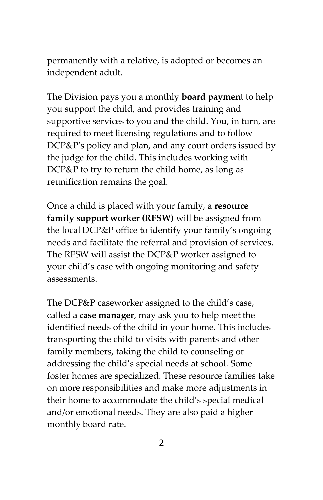permanently with a relative, is adopted or becomes an independent adult.

The Division pays you a monthly **board payment** to help you support the child, and provides training and supportive services to you and the child. You, in turn, are required to meet licensing regulations and to follow DCP&P's policy and plan, and any court orders issued by the judge for the child. This includes working with DCP&P to try to return the child home, as long as reunification remains the goal.

Once a child is placed with your family, a **resource family support worker (RFSW)** will be assigned from the local DCP&P office to identify your family's ongoing needs and facilitate the referral and provision of services. The RFSW will assist the DCP&P worker assigned to your child's case with ongoing monitoring and safety assessments.

The DCP&P caseworker assigned to the child's case, called a **case manager**, may ask you to help meet the identified needs of the child in your home. This includes transporting the child to visits with parents and other family members, taking the child to counseling or addressing the child's special needs at school. Some foster homes are specialized. These resource families take on more responsibilities and make more adjustments in their home to accommodate the child's special medical and/or emotional needs. They are also paid a higher monthly board rate.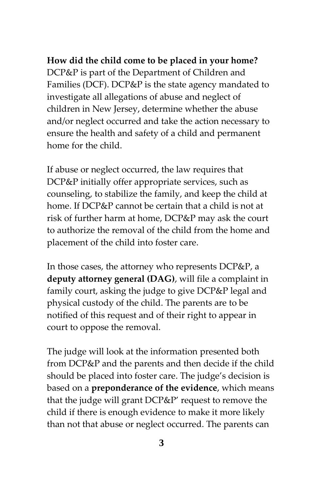**How did the child come to be placed in your home?** DCP&P is part of the Department of Children and Families (DCF). DCP&P is the state agency mandated to investigate all allegations of abuse and neglect of children in New Jersey, determine whether the abuse and/or neglect occurred and take the action necessary to ensure the health and safety of a child and permanent home for the child.

If abuse or neglect occurred, the law requires that DCP&P initially offer appropriate services, such as counseling, to stabilize the family, and keep the child at home. If DCP&P cannot be certain that a child is not at risk of further harm at home, DCP&P may ask the court to authorize the removal of the child from the home and placement of the child into foster care.

In those cases, the attorney who represents DCP&P, a **deputy attorney general (DAG)**, will file a complaint in family court, asking the judge to give DCP&P legal and physical custody of the child. The parents are to be notified of this request and of their right to appear in court to oppose the removal.

The judge will look at the information presented both from DCP&P and the parents and then decide if the child should be placed into foster care. The judge's decision is based on a **preponderance of the evidence**, which means that the judge will grant DCP&P' request to remove the child if there is enough evidence to make it more likely than not that abuse or neglect occurred. The parents can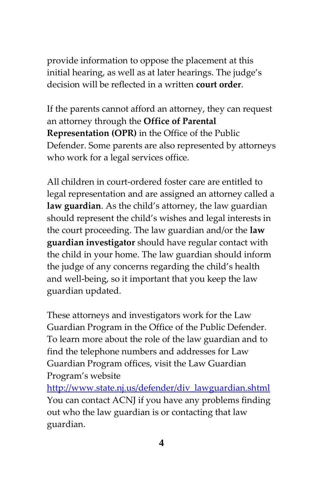provide information to oppose the placement at this initial hearing, as well as at later hearings. The judge's decision will be reflected in a written **court order**.

If the parents cannot afford an attorney, they can request an attorney through the **Office of Parental Representation (OPR)** in the Office of the Public Defender. Some parents are also represented by attorneys who work for a legal services office.

All children in court-ordered foster care are entitled to legal representation and are assigned an attorney called a **law guardian**. As the child's attorney, the law guardian should represent the child's wishes and legal interests in the court proceeding. The law guardian and/or the **law guardian investigator** should have regular contact with the child in your home. The law guardian should inform the judge of any concerns regarding the child's health and well-being, so it important that you keep the law guardian updated.

These attorneys and investigators work for the Law Guardian Program in the Office of the Public Defender. To learn more about the role of the law guardian and to find the telephone numbers and addresses for Law Guardian Program offices, visit the Law Guardian Program's website

[http://www.state.nj.us/defender/div\\_lawguardian.shtml](http://www.state.nj.us/defender/div_lawguardian.shtml) You can contact ACNJ if you have any problems finding out who the law guardian is or contacting that law guardian.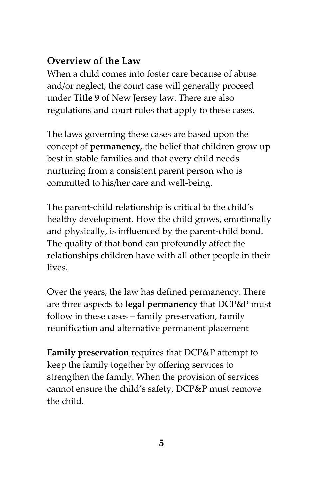# **Overview of the Law**

When a child comes into foster care because of abuse and/or neglect, the court case will generally proceed under **Title 9** of New Jersey law. There are also regulations and court rules that apply to these cases.

The laws governing these cases are based upon the concept of **permanency***,* the belief that children grow up best in stable families and that every child needs nurturing from a consistent parent person who is committed to his/her care and well-being.

The parent-child relationship is critical to the child's healthy development. How the child grows, emotionally and physically, is influenced by the parent-child bond. The quality of that bond can profoundly affect the relationships children have with all other people in their lives.

Over the years, the law has defined permanency. There are three aspects to **legal permanency** that DCP&P must follow in these cases – family preservation, family reunification and alternative permanent placement

**Family preservation** requires that DCP&P attempt to keep the family together by offering services to strengthen the family. When the provision of services cannot ensure the child's safety, DCP&P must remove the child.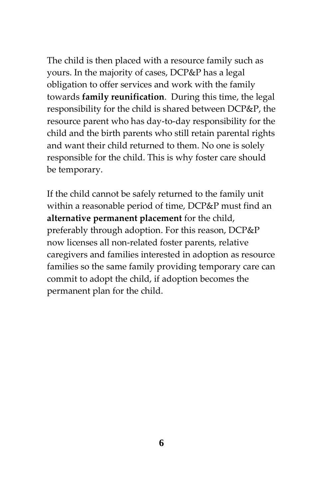The child is then placed with a resource family such as yours. In the majority of cases, DCP&P has a legal obligation to offer services and work with the family towards **family reunification**. During this time, the legal responsibility for the child is shared between DCP&P, the resource parent who has day-to-day responsibility for the child and the birth parents who still retain parental rights and want their child returned to them. No one is solely responsible for the child. This is why foster care should be temporary.

If the child cannot be safely returned to the family unit within a reasonable period of time, DCP&P must find an **alternative permanent placement** for the child, preferably through adoption. For this reason, DCP&P now licenses all non-related foster parents, relative caregivers and families interested in adoption as resource families so the same family providing temporary care can commit to adopt the child, if adoption becomes the permanent plan for the child.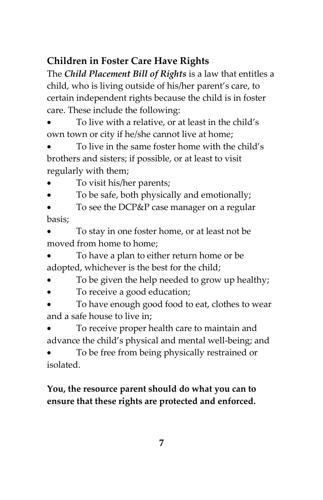# **Children in Foster Care Have Rights**

The *Child Placement Bill of Rights* is a law that entitles a child, who is living outside of his/her parent's care, to certain independent rights because the child is in foster care. These include the following:

 To live with a relative, or at least in the child's own town or city if he/she cannot live at home;

 To live in the same foster home with the child's brothers and sisters; if possible, or at least to visit regularly with them;

- To visit his/her parents;
- To be safe, both physically and emotionally;

 To see the DCP&P case manager on a regular basis;

 To stay in one foster home, or at least not be moved from home to home;

 To have a plan to either return home or be adopted, whichever is the best for the child;

- To be given the help needed to grow up healthy;
- To receive a good education;

 To have enough good food to eat, clothes to wear and a safe house to live in;

 To receive proper health care to maintain and advance the child's physical and mental well-being; and

 To be free from being physically restrained or isolated.

#### **You, the resource parent should do what you can to ensure that these rights are protected and enforced.**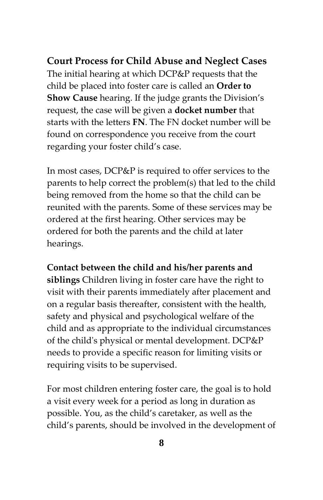**Court Process for Child Abuse and Neglect Cases** The initial hearing at which DCP&P requests that the child be placed into foster care is called an **Order to Show Cause** hearing. If the judge grants the Division's request, the case will be given a **docket number** that starts with the letters **FN**. The FN docket number will be found on correspondence you receive from the court regarding your foster child's case.

In most cases, DCP&P is required to offer services to the parents to help correct the problem(s) that led to the child being removed from the home so that the child can be reunited with the parents. Some of these services may be ordered at the first hearing. Other services may be ordered for both the parents and the child at later hearings.

**Contact between the child and his/her parents and** 

**siblings** Children living in foster care have the right to visit with their parents immediately after placement and on a regular basis thereafter, consistent with the health, safety and physical and psychological welfare of the child and as appropriate to the individual circumstances of the child's physical or mental development. DCP&P needs to provide a specific reason for limiting visits or requiring visits to be supervised.

For most children entering foster care, the goal is to hold a visit every week for a period as long in duration as possible. You, as the child's caretaker, as well as the child's parents, should be involved in the development of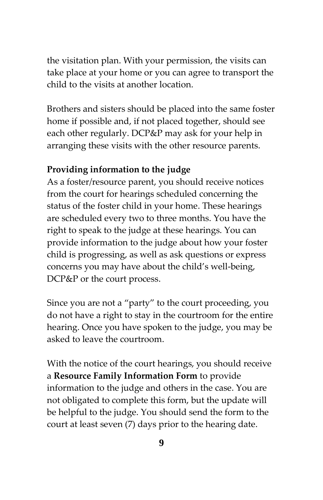the visitation plan. With your permission, the visits can take place at your home or you can agree to transport the child to the visits at another location.

Brothers and sisters should be placed into the same foster home if possible and, if not placed together, should see each other regularly. DCP&P may ask for your help in arranging these visits with the other resource parents.

#### **Providing information to the judge**

As a foster/resource parent, you should receive notices from the court for hearings scheduled concerning the status of the foster child in your home. These hearings are scheduled every two to three months. You have the right to speak to the judge at these hearings. You can provide information to the judge about how your foster child is progressing, as well as ask questions or express concerns you may have about the child's well-being, DCP&P or the court process.

Since you are not a "party" to the court proceeding, you do not have a right to stay in the courtroom for the entire hearing. Once you have spoken to the judge, you may be asked to leave the courtroom.

With the notice of the court hearings, you should receive a **Resource Family Information Form** to provide information to the judge and others in the case. You are not obligated to complete this form, but the update will be helpful to the judge. You should send the form to the court at least seven (7) days prior to the hearing date.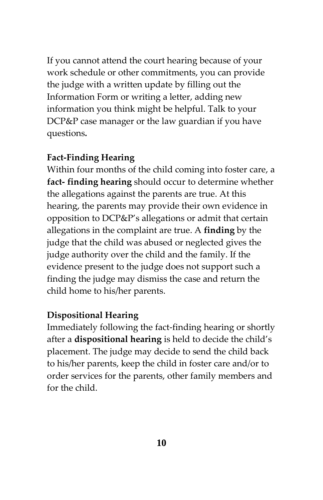If you cannot attend the court hearing because of your work schedule or other commitments, you can provide the judge with a written update by filling out the Information Form or writing a letter, adding new information you think might be helpful. Talk to your DCP&P case manager or the law guardian if you have questions*.* 

#### **Fact-Finding Hearing**

Within four months of the child coming into foster care, a **fact- finding hearing** should occur to determine whether the allegations against the parents are true. At this hearing, the parents may provide their own evidence in opposition to DCP&P's allegations or admit that certain allegations in the complaint are true. A **finding** by the judge that the child was abused or neglected gives the judge authority over the child and the family. If the evidence present to the judge does not support such a finding the judge may dismiss the case and return the child home to his/her parents.

#### **Dispositional Hearing**

Immediately following the fact-finding hearing or shortly after a **dispositional hearing** is held to decide the child's placement. The judge may decide to send the child back to his/her parents, keep the child in foster care and/or to order services for the parents, other family members and for the child.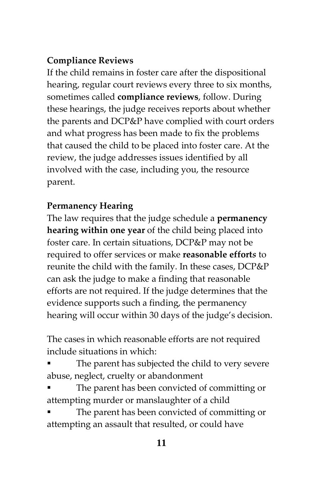# **Compliance Reviews**

If the child remains in foster care after the dispositional hearing, regular court reviews every three to six months, sometimes called **compliance reviews**, follow. During these hearings, the judge receives reports about whether the parents and DCP&P have complied with court orders and what progress has been made to fix the problems that caused the child to be placed into foster care. At the review, the judge addresses issues identified by all involved with the case, including you, the resource parent.

# **Permanency Hearing**

The law requires that the judge schedule a **permanency hearing within one year** of the child being placed into foster care. In certain situations, DCP&P may not be required to offer services or make **reasonable effort***s* to reunite the child with the family. In these cases, DCP&P can ask the judge to make a finding that reasonable efforts are not required. If the judge determines that the evidence supports such a finding, the permanency hearing will occur within 30 days of the judge's decision.

The cases in which reasonable efforts are not required include situations in which:

- The parent has subjected the child to very severe abuse, neglect, cruelty or abandonment
- The parent has been convicted of committing or attempting murder or manslaughter of a child
- The parent has been convicted of committing or attempting an assault that resulted, or could have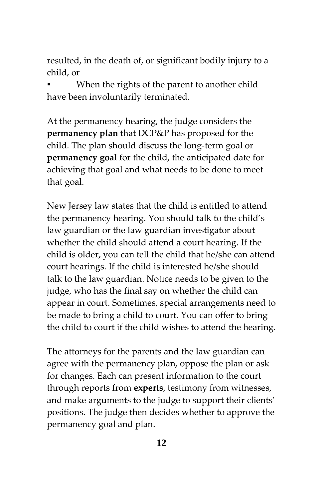resulted, in the death of, or significant bodily injury to a child, or

 When the rights of the parent to another child have been involuntarily terminated.

At the permanency hearing, the judge considers the **permanency plan** that DCP&P has proposed for the child. The plan should discuss the long-term goal or **permanency goal** for the child, the anticipated date for achieving that goal and what needs to be done to meet that goal.

New Jersey law states that the child is entitled to attend the permanency hearing. You should talk to the child's law guardian or the law guardian investigator about whether the child should attend a court hearing. If the child is older, you can tell the child that he/she can attend court hearings. If the child is interested he/she should talk to the law guardian. Notice needs to be given to the judge, who has the final say on whether the child can appear in court. Sometimes, special arrangements need to be made to bring a child to court. You can offer to bring the child to court if the child wishes to attend the hearing.

The attorneys for the parents and the law guardian can agree with the permanency plan, oppose the plan or ask for changes. Each can present information to the court through reports from **experts**, testimony from witnesses, and make arguments to the judge to support their clients' positions. The judge then decides whether to approve the permanency goal and plan.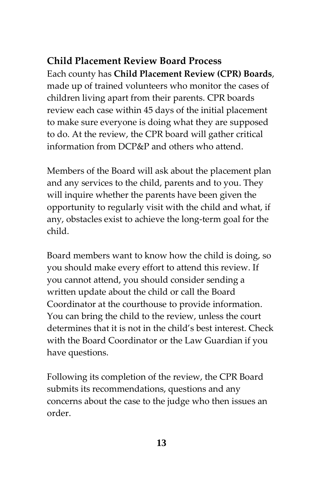# **Child Placement Review Board Process** Each county has **Child Placement Review (CPR) Boards**, made up of trained volunteers who monitor the cases of children living apart from their parents. CPR boards review each case within 45 days of the initial placement to make sure everyone is doing what they are supposed to do. At the review, the CPR board will gather critical information from DCP&P and others who attend.

Members of the Board will ask about the placement plan and any services to the child, parents and to you. They will inquire whether the parents have been given the opportunity to regularly visit with the child and what, if any, obstacles exist to achieve the long-term goal for the child.

Board members want to know how the child is doing, so you should make every effort to attend this review. If you cannot attend, you should consider sending a written update about the child or call the Board Coordinator at the courthouse to provide information. You can bring the child to the review, unless the court determines that it is not in the child's best interest. Check with the Board Coordinator or the Law Guardian if you have questions.

Following its completion of the review, the CPR Board submits its recommendations, questions and any concerns about the case to the judge who then issues an order.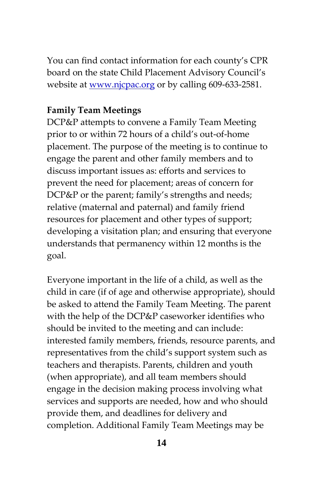You can find contact information for each county's CPR board on the state Child Placement Advisory Council's website at [www.njcpac.org](http://www.njcpac.org/) or by calling 609-633-2581.

#### **Family Team Meetings**

DCP&P attempts to convene a Family Team Meeting prior to or within 72 hours of a child's out-of-home placement. The purpose of the meeting is to continue to engage the parent and other family members and to discuss important issues as: efforts and services to prevent the need for placement; areas of concern for DCP&P or the parent; family's strengths and needs; relative (maternal and paternal) and family friend resources for placement and other types of support; developing a visitation plan; and ensuring that everyone understands that permanency within 12 months is the goal.

Everyone important in the life of a child, as well as the child in care (if of age and otherwise appropriate), should be asked to attend the Family Team Meeting. The parent with the help of the DCP&P caseworker identifies who should be invited to the meeting and can include: interested family members, friends, resource parents, and representatives from the child's support system such as teachers and therapists. Parents, children and youth (when appropriate), and all team members should engage in the decision making process involving what services and supports are needed, how and who should provide them, and deadlines for delivery and completion. Additional Family Team Meetings may be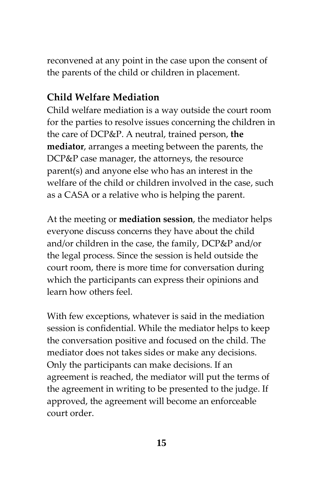reconvened at any point in the case upon the consent of the parents of the child or children in placement.

#### **Child Welfare Mediation**

Child welfare mediation is a way outside the court room for the parties to resolve issues concerning the children in the care of DCP&P. A neutral, trained person, **the mediator**, arranges a meeting between the parents, the DCP&P case manager, the attorneys, the resource parent(s) and anyone else who has an interest in the welfare of the child or children involved in the case, such as a CASA or a relative who is helping the parent.

At the meeting or **mediation session**, the mediator helps everyone discuss concerns they have about the child and/or children in the case, the family, DCP&P and/or the legal process. Since the session is held outside the court room, there is more time for conversation during which the participants can express their opinions and learn how others feel.

With few exceptions, whatever is said in the mediation session is confidential. While the mediator helps to keep the conversation positive and focused on the child. The mediator does not takes sides or make any decisions. Only the participants can make decisions. If an agreement is reached, the mediator will put the terms of the agreement in writing to be presented to the judge. If approved, the agreement will become an enforceable court order.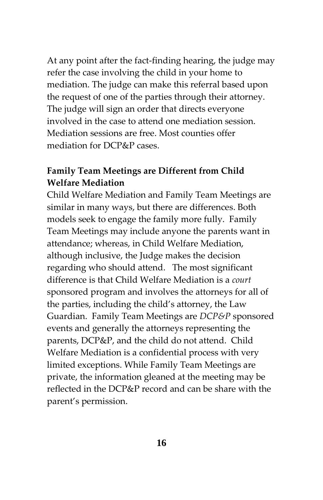At any point after the fact-finding hearing, the judge may refer the case involving the child in your home to mediation. The judge can make this referral based upon the request of one of the parties through their attorney. The judge will sign an order that directs everyone involved in the case to attend one mediation session. Mediation sessions are free. Most counties offer mediation for DCP&P cases.

#### **Family Team Meetings are Different from Child Welfare Mediation**

Child Welfare Mediation and Family Team Meetings are similar in many ways, but there are differences. Both models seek to engage the family more fully. Family Team Meetings may include anyone the parents want in attendance; whereas, in Child Welfare Mediation, although inclusive, the Judge makes the decision regarding who should attend. The most significant difference is that Child Welfare Mediation is a *court* sponsored program and involves the attorneys for all of the parties, including the child's attorney, the Law Guardian. Family Team Meetings are *DCP&P* sponsored events and generally the attorneys representing the parents, DCP&P, and the child do not attend. Child Welfare Mediation is a confidential process with very limited exceptions. While Family Team Meetings are private, the information gleaned at the meeting may be reflected in the DCP&P record and can be share with the parent's permission.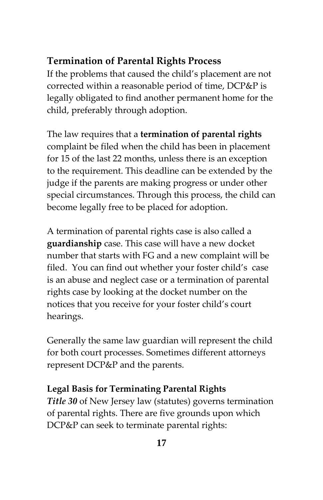#### **Termination of Parental Rights Process**

If the problems that caused the child's placement are not corrected within a reasonable period of time, DCP&P is legally obligated to find another permanent home for the child, preferably through adoption.

The law requires that a **termination of parental rights** complaint be filed when the child has been in placement for 15 of the last 22 months, unless there is an exception to the requirement. This deadline can be extended by the judge if the parents are making progress or under other special circumstances. Through this process, the child can become legally free to be placed for adoption.

A termination of parental rights case is also called a **guardianship** case. This case will have a new docket number that starts with FG and a new complaint will be filed. You can find out whether your foster child's case is an abuse and neglect case or a termination of parental rights case by looking at the docket number on the notices that you receive for your foster child's court hearings.

Generally the same law guardian will represent the child for both court processes. Sometimes different attorneys represent DCP&P and the parents.

#### **Legal Basis for Terminating Parental Rights**

*Title 30* of New Jersey law (statutes) governs termination of parental rights. There are five grounds upon which DCP&P can seek to terminate parental rights: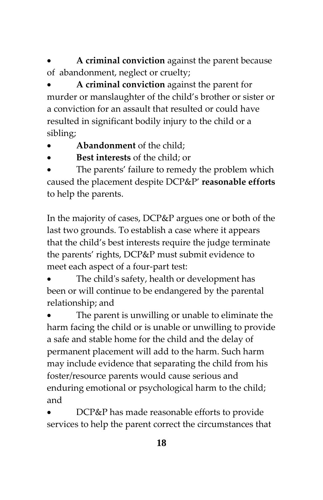**A criminal conviction** against the parent because of abandonment, neglect or cruelty;

 **A criminal conviction** against the parent for murder or manslaughter of the child's brother or sister or a conviction for an assault that resulted or could have resulted in significant bodily injury to the child or a sibling;

- **Abandonment** of the child;
- **Best interests** of the child; or

 The parents' failure to remedy the problem which caused the placement despite DCP&P' **reasonable efforts** to help the parents.

In the majority of cases, DCP&P argues one or both of the last two grounds. To establish a case where it appears that the child's best interests require the judge terminate the parents' rights, DCP&P must submit evidence to meet each aspect of a four-part test:

 The child's safety, health or development has been or will continue to be endangered by the parental relationship; and

 The parent is unwilling or unable to eliminate the harm facing the child or is unable or unwilling to provide a safe and stable home for the child and the delay of permanent placement will add to the harm. Such harm may include evidence that separating the child from his foster/resource parents would cause serious and enduring emotional or psychological harm to the child; and

 DCP&P has made reasonable efforts to provide services to help the parent correct the circumstances that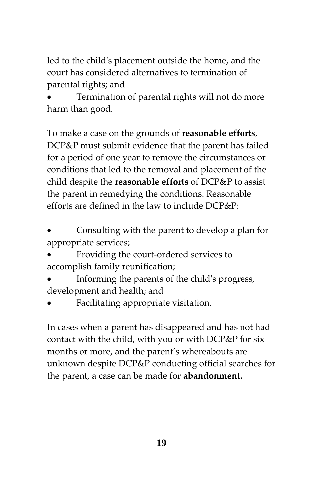led to the child's placement outside the home, and the court has considered alternatives to termination of parental rights; and

 Termination of parental rights will not do more harm than good.

To make a case on the grounds of **reasonable efforts**, DCP&P must submit evidence that the parent has failed for a period of one year to remove the circumstances or conditions that led to the removal and placement of the child despite the **reasonable efforts** of DCP&P to assist the parent in remedying the conditions. Reasonable efforts are defined in the law to include DCP&P:

 Consulting with the parent to develop a plan for appropriate services;

- Providing the court-ordered services to accomplish family reunification;
- Informing the parents of the child's progress, development and health; and
- Facilitating appropriate visitation.

In cases when a parent has disappeared and has not had contact with the child, with you or with DCP&P for six months or more, and the parent's whereabouts are unknown despite DCP&P conducting official searches for the parent, a case can be made for **abandonment.**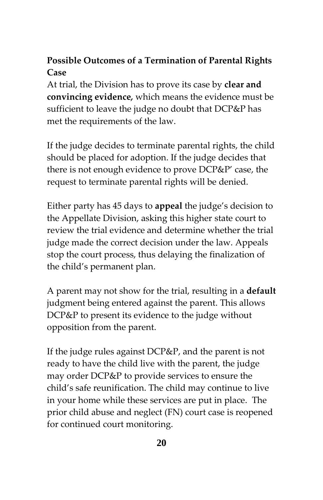# **Possible Outcomes of a Termination of Parental Rights Case**

At trial, the Division has to prove its case by **clear and convincing evidence***,* which means the evidence must be sufficient to leave the judge no doubt that DCP&P has met the requirements of the law.

If the judge decides to terminate parental rights, the child should be placed for adoption. If the judge decides that there is not enough evidence to prove DCP&P' case, the request to terminate parental rights will be denied.

Either party has 45 days to **appeal** the judge's decision to the Appellate Division, asking this higher state court to review the trial evidence and determine whether the trial judge made the correct decision under the law. Appeals stop the court process, thus delaying the finalization of the child's permanent plan.

A parent may not show for the trial, resulting in a **default** judgment being entered against the parent. This allows DCP&P to present its evidence to the judge without opposition from the parent.

If the judge rules against DCP&P, and the parent is not ready to have the child live with the parent, the judge may order DCP&P to provide services to ensure the child's safe reunification. The child may continue to live in your home while these services are put in place. The prior child abuse and neglect (FN) court case is reopened for continued court monitoring.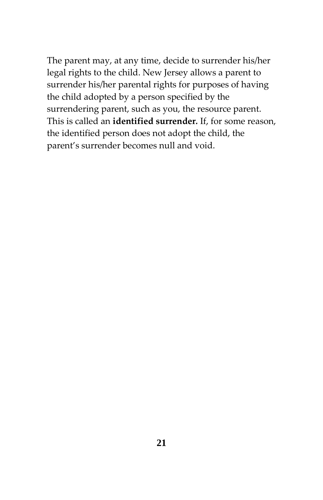The parent may, at any time, decide to surrender his/her legal rights to the child. New Jersey allows a parent to surrender his/her parental rights for purposes of having the child adopted by a person specified by the surrendering parent, such as you, the resource parent. This is called an **identified surrender***.* If, for some reason, the identified person does not adopt the child, the parent's surrender becomes null and void.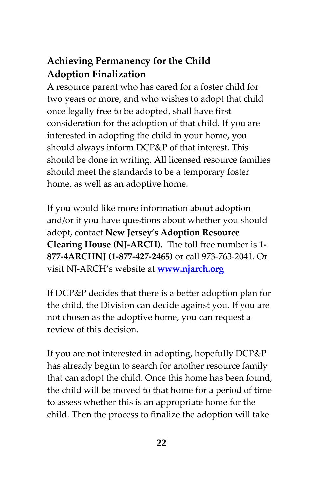# **Achieving Permanency for the Child Adoption Finalization**

A resource parent who has cared for a foster child for two years or more, and who wishes to adopt that child once legally free to be adopted, shall have first consideration for the adoption of that child. If you are interested in adopting the child in your home, you should always inform DCP&P of that interest. This should be done in writing. All licensed resource families should meet the standards to be a temporary foster home, as well as an adoptive home.

If you would like more information about adoption and/or if you have questions about whether you should adopt, contact **New Jersey's Adoption Resource Clearing House (NJ-ARCH).** The toll free number is **1- 877-4ARCHNJ (1-877-427-2465)** or call 973-763-2041. Or visit NJ-ARCH's website at **[www.njarch.org](http://www.njarch.org/)** 

If DCP&P decides that there is a better adoption plan for the child, the Division can decide against you. If you are not chosen as the adoptive home, you can request a review of this decision.

If you are not interested in adopting, hopefully DCP&P has already begun to search for another resource family that can adopt the child. Once this home has been found, the child will be moved to that home for a period of time to assess whether this is an appropriate home for the child. Then the process to finalize the adoption will take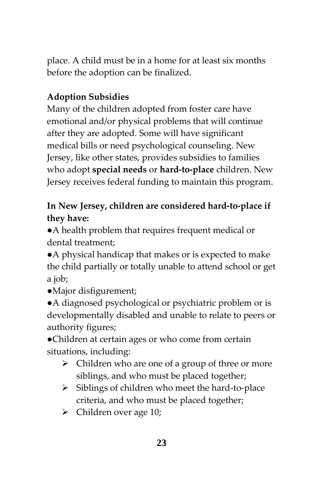place. A child must be in a home for at least six months before the adoption can be finalized.

# **Adoption Subsidies**

Many of the children adopted from foster care have emotional and/or physical problems that will continue after they are adopted. Some will have significant medical bills or need psychological counseling. New Jersey, like other states, provides subsidies to families who adopt **special needs** or **hard-to-place** children. New Jersey receives federal funding to maintain this program.

# **In New Jersey, children are considered hard-to-place if they have:**

●A health problem that requires frequent medical or dental treatment;

●A physical handicap that makes or is expected to make the child partially or totally unable to attend school or get a job;

●Major disfigurement;

●A diagnosed psychological or psychiatric problem or is developmentally disabled and unable to relate to peers or authority figures;

●Children at certain ages or who come from certain situations, including:

- $\triangleright$  Children who are one of a group of three or more siblings, and who must be placed together;
- $\triangleright$  Siblings of children who meet the hard-to-place criteria, and who must be placed together;
- $\triangleright$  Children over age 10;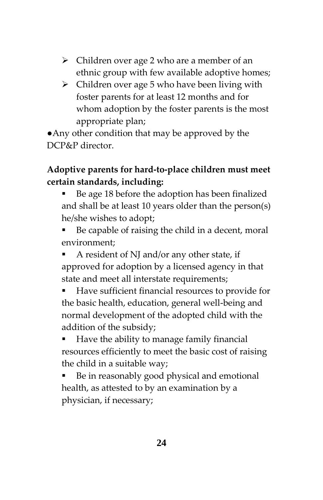- $\triangleright$  Children over age 2 who are a member of an ethnic group with few available adoptive homes;
- $\triangleright$  Children over age 5 who have been living with foster parents for at least 12 months and for whom adoption by the foster parents is the most appropriate plan;

●Any other condition that may be approved by the DCP&P director.

#### **Adoptive parents for hard-to-place children must meet certain standards, including:**

- Be age 18 before the adoption has been finalized and shall be at least 10 years older than the person(s) he/she wishes to adopt;
- Be capable of raising the child in a decent, moral environment;
- A resident of NJ and/or any other state, if approved for adoption by a licensed agency in that state and meet all interstate requirements;
- Have sufficient financial resources to provide for the basic health, education, general well-being and normal development of the adopted child with the addition of the subsidy;
- Have the ability to manage family financial resources efficiently to meet the basic cost of raising the child in a suitable way;
- Be in reasonably good physical and emotional health, as attested to by an examination by a physician, if necessary;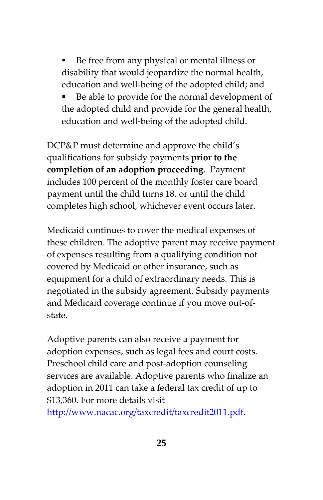Be free from any physical or mental illness or disability that would jeopardize the normal health, education and well-being of the adopted child; and

 Be able to provide for the normal development of the adopted child and provide for the general health, education and well-being of the adopted child.

DCP&P must determine and approve the child's qualifications for subsidy payments **prior to the completion of an adoption proceeding**. Payment includes 100 percent of the monthly foster care board payment until the child turns 18, or until the child completes high school, whichever event occurs later.

Medicaid continues to cover the medical expenses of these children. The adoptive parent may receive payment of expenses resulting from a qualifying condition not covered by Medicaid or other insurance, such as equipment for a child of extraordinary needs. This is negotiated in the subsidy agreement. Subsidy payments and Medicaid coverage continue if you move out-ofstate.

Adoptive parents can also receive a payment for adoption expenses, such as legal fees and court costs. Preschool child care and post-adoption counseling services are available. Adoptive parents who finalize an adoption in 2011 can take a federal tax credit of up to \$13,360. For more details visit

[http://www.nacac.org/taxcredit/taxcredit2011.pdf.](http://www.nacac.org/taxcredit/taxcredit2011.pdf)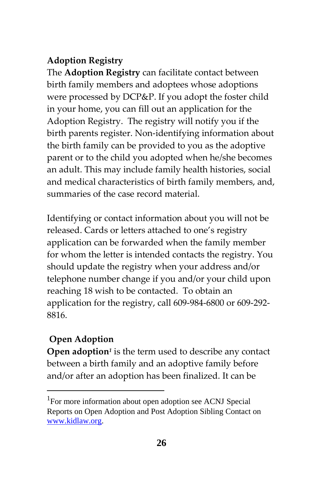#### **Adoption Registry**

The **Adoption Registry** can facilitate contact between birth family members and adoptees whose adoptions were processed by DCP&P. If you adopt the foster child in your home, you can fill out an application for the Adoption Registry. The registry will notify you if the birth parents register. Non-identifying information about the birth family can be provided to you as the adoptive parent or to the child you adopted when he/she becomes an adult. This may include family health histories, social and medical characteristics of birth family members, and, summaries of the case record material.

Identifying or contact information about you will not be released. Cards or letters attached to one's registry application can be forwarded when the family member for whom the letter is intended contacts the registry. You should update the registry when your address and/or telephone number change if you and/or your child upon reaching 18 wish to be contacted. To obtain an application for the registry, call 609-984-6800 or 609-292- 8816.

#### **Open Adoption**

 $\overline{a}$ 

**Open adoption***<sup>1</sup>* is the term used to describe any contact between a birth family and an adoptive family before and/or after an adoption has been finalized. It can be

<sup>&</sup>lt;sup>1</sup>For more information about open adoption see ACNJ Special Reports on Open Adoption and Post Adoption Sibling Contact on [www.kidlaw.org.](http://www.kidlaw.org/)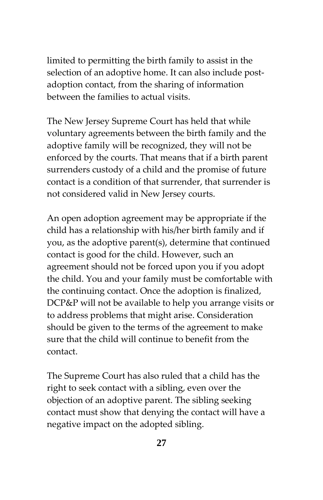limited to permitting the birth family to assist in the selection of an adoptive home. It can also include postadoption contact, from the sharing of information between the families to actual visits.

The New Jersey Supreme Court has held that while voluntary agreements between the birth family and the adoptive family will be recognized, they will not be enforced by the courts. That means that if a birth parent surrenders custody of a child and the promise of future contact is a condition of that surrender, that surrender is not considered valid in New Jersey courts.

An open adoption agreement may be appropriate if the child has a relationship with his/her birth family and if you, as the adoptive parent(s), determine that continued contact is good for the child. However, such an agreement should not be forced upon you if you adopt the child. You and your family must be comfortable with the continuing contact. Once the adoption is finalized, DCP&P will not be available to help you arrange visits or to address problems that might arise. Consideration should be given to the terms of the agreement to make sure that the child will continue to benefit from the contact.

The Supreme Court has also ruled that a child has the right to seek contact with a sibling, even over the objection of an adoptive parent. The sibling seeking contact must show that denying the contact will have a negative impact on the adopted sibling.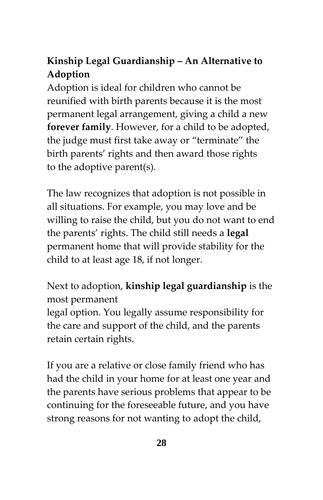# **Kinship Legal Guardianship – An Alternative to Adoption**

Adoption is ideal for children who cannot be reunified with birth parents because it is the most permanent legal arrangement, giving a child a new **forever family**. However, for a child to be adopted, the judge must first take away or "terminate" the birth parents' rights and then award those rights to the adoptive parent(s).

The law recognizes that adoption is not possible in all situations. For example, you may love and be willing to raise the child, but you do not want to end the parents' rights. The child still needs a **legal**  permanent home that will provide stability for the child to at least age 18, if not longer.

Next to adoption, **kinship legal guardianship** is the most permanent

legal option. You legally assume responsibility for the care and support of the child, and the parents retain certain rights.

If you are a relative or close family friend who has had the child in your home for at least one year and the parents have serious problems that appear to be continuing for the foreseeable future, and you have strong reasons for not wanting to adopt the child,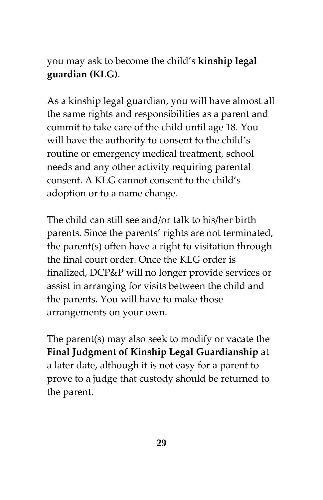you may ask to become the child's **kinship legal guardian (KLG)**.

As a kinship legal guardian, you will have almost all the same rights and responsibilities as a parent and commit to take care of the child until age 18. You will have the authority to consent to the child's routine or emergency medical treatment, school needs and any other activity requiring parental consent. A KLG cannot consent to the child's adoption or to a name change.

The child can still see and/or talk to his/her birth parents. Since the parents' rights are not terminated, the parent(s) often have a right to visitation through the final court order. Once the KLG order is finalized, DCP&P will no longer provide services or assist in arranging for visits between the child and the parents. You will have to make those arrangements on your own.

The parent(s) may also seek to modify or vacate the **Final Judgment of Kinship Legal Guardianship** at a later date, although it is not easy for a parent to prove to a judge that custody should be returned to the parent.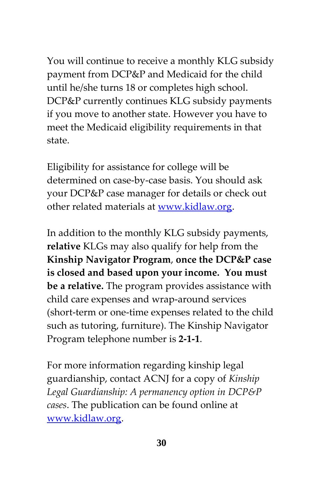You will continue to receive a monthly KLG subsidy payment from DCP&P and Medicaid for the child until he/she turns 18 or completes high school. DCP&P currently continues KLG subsidy payments if you move to another state. However you have to meet the Medicaid eligibility requirements in that state.

Eligibility for assistance for college will be determined on case-by-case basis. You should ask your DCP&P case manager for details or check out other related materials at [www.kidlaw.org.](http://www.kidlaw.org/)

In addition to the monthly KLG subsidy payments, **relative** KLGs may also qualify for help from the **Kinship Navigator Program**, **once the DCP&P case is closed and based upon your income. You must be a relative.** The program provides assistance with child care expenses and wrap-around services (short-term or one-time expenses related to the child such as tutoring, furniture). The Kinship Navigator Program telephone number is **2-1-1**.

For more information regarding kinship legal guardianship, contact ACNJ for a copy of *Kinship Legal Guardianship: A permanency option in DCP&P cases*. The publication can be found online at [www.kidlaw.org.](http://www.kidlaw.org/)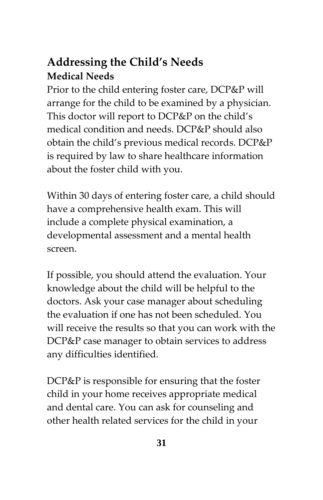# **Addressing the Child's Needs Medical Needs**

Prior to the child entering foster care, DCP&P will arrange for the child to be examined by a physician. This doctor will report to DCP&P on the child's medical condition and needs. DCP&P should also obtain the child's previous medical records. DCP&P is required by law to share healthcare information about the foster child with you.

Within 30 days of entering foster care, a child should have a comprehensive health exam. This will include a complete physical examination, a developmental assessment and a mental health screen.

If possible, you should attend the evaluation. Your knowledge about the child will be helpful to the doctors. Ask your case manager about scheduling the evaluation if one has not been scheduled. You will receive the results so that you can work with the DCP&P case manager to obtain services to address any difficulties identified.

DCP&P is responsible for ensuring that the foster child in your home receives appropriate medical and dental care. You can ask for counseling and other health related services for the child in your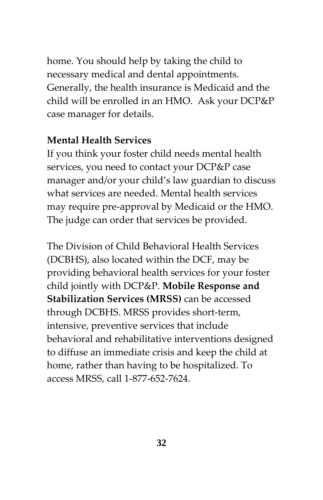home. You should help by taking the child to necessary medical and dental appointments. Generally, the health insurance is Medicaid and the child will be enrolled in an HMO. Ask your DCP&P case manager for details.

#### **Mental Health Services**

If you think your foster child needs mental health services, you need to contact your DCP&P case manager and/or your child's law guardian to discuss what services are needed. Mental health services may require pre-approval by Medicaid or the HMO. The judge can order that services be provided.

The Division of Child Behavioral Health Services (DCBHS), also located within the DCF, may be providing behavioral health services for your foster child jointly with DCP&P. **Mobile Response and Stabilization Services (MRSS)** can be accessed through DCBHS. MRSS provides short-term, intensive, preventive services that include behavioral and rehabilitative interventions designed to diffuse an immediate crisis and keep the child at home, rather than having to be hospitalized. To access MRSS, call 1-877-652-7624.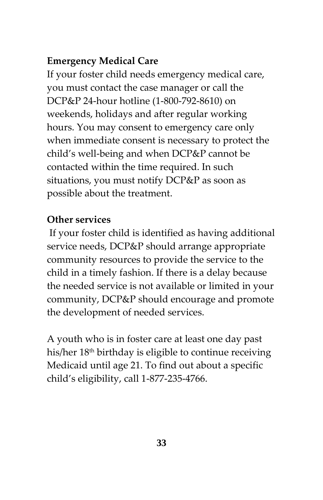# **Emergency Medical Care**

If your foster child needs emergency medical care, you must contact the case manager or call the DCP&P 24-hour hotline (1-800-792-8610) on weekends, holidays and after regular working hours. You may consent to emergency care only when immediate consent is necessary to protect the child's well-being and when DCP&P cannot be contacted within the time required. In such situations, you must notify DCP&P as soon as possible about the treatment.

# **Other services**

If your foster child is identified as having additional service needs, DCP&P should arrange appropriate community resources to provide the service to the child in a timely fashion. If there is a delay because the needed service is not available or limited in your community, DCP&P should encourage and promote the development of needed services.

A youth who is in foster care at least one day past his/her 18th birthday is eligible to continue receiving Medicaid until age 21. To find out about a specific child's eligibility, call 1-877-235-4766.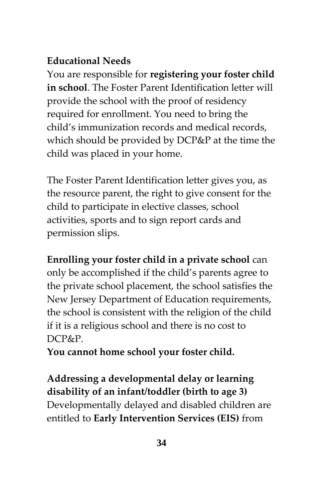# **Educational Needs**

You are responsible for **registering your foster child in school**. The Foster Parent Identification letter will provide the school with the proof of residency required for enrollment. You need to bring the child's immunization records and medical records, which should be provided by DCP&P at the time the child was placed in your home.

The Foster Parent Identification letter gives you, as the resource parent, the right to give consent for the child to participate in elective classes, school activities, sports and to sign report cards and permission slips.

**Enrolling your foster child in a private school** can only be accomplished if the child's parents agree to the private school placement, the school satisfies the New Jersey Department of Education requirements, the school is consistent with the religion of the child if it is a religious school and there is no cost to DCP&P.

**You cannot home school your foster child.**

**Addressing a developmental delay or learning disability of an infant/toddler (birth to age 3)** Developmentally delayed and disabled children are entitled to **Early Intervention Services (EIS)** from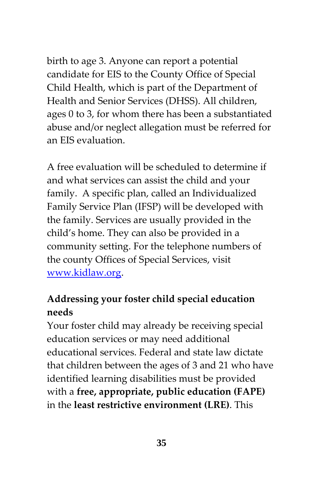birth to age 3. Anyone can report a potential candidate for EIS to the County Office of Special Child Health, which is part of the Department of Health and Senior Services (DHSS). All children, ages 0 to 3, for whom there has been a substantiated abuse and/or neglect allegation must be referred for an EIS evaluation.

A free evaluation will be scheduled to determine if and what services can assist the child and your family. A specific plan, called an Individualized Family Service Plan (IFSP) will be developed with the family. Services are usually provided in the child's home. They can also be provided in a community setting. For the telephone numbers of the county Offices of Special Services, visit [www.kidlaw.org.](http://www.kidlaw.org/)

# **Addressing your foster child special education needs**

Your foster child may already be receiving special education services or may need additional educational services. Federal and state law dictate that children between the ages of 3 and 21 who have identified learning disabilities must be provided with a **free, appropriate, public education (FAPE)** in the **least restrictive environment (LRE)**. This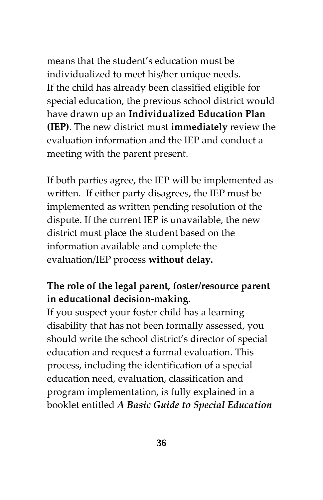means that the student's education must be individualized to meet his/her unique needs. If the child has already been classified eligible for special education, the previous school district would have drawn up an **Individualized Education Plan (IEP)**. The new district must **immediately** review the evaluation information and the IEP and conduct a meeting with the parent present.

If both parties agree, the IEP will be implemented as written. If either party disagrees, the IEP must be implemented as written pending resolution of the dispute. If the current IEP is unavailable, the new district must place the student based on the information available and complete the evaluation/IEP process **without delay.**

# **The role of the legal parent, foster/resource parent in educational decision-making.**

If you suspect your foster child has a learning disability that has not been formally assessed, you should write the school district's director of special education and request a formal evaluation. This process, including the identification of a special education need, evaluation, classification and program implementation, is fully explained in a booklet entitled *A Basic Guide to Special Education*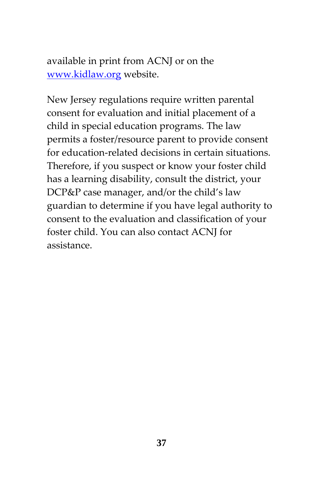available in print from ACNJ or on the [www.kidlaw.org](http://www.kidlaw.org/) website.

New Jersey regulations require written parental consent for evaluation and initial placement of a child in special education programs. The law permits a foster/resource parent to provide consent for education-related decisions in certain situations. Therefore, if you suspect or know your foster child has a learning disability, consult the district, your DCP&P case manager, and/or the child's law guardian to determine if you have legal authority to consent to the evaluation and classification of your foster child. You can also contact ACNJ for assistance.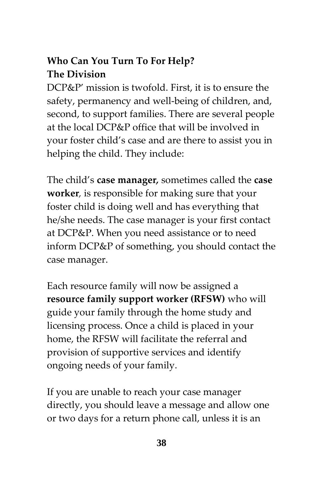# **Who Can You Turn To For Help? The Division**

DCP&P' mission is twofold. First, it is to ensure the safety, permanency and well-being of children, and, second, to support families. There are several people at the local DCP&P office that will be involved in your foster child's case and are there to assist you in helping the child. They include:

The child's **case manager***,* sometimes called the **case worker***,* is responsible for making sure that your foster child is doing well and has everything that he/she needs. The case manager is your first contact at DCP&P. When you need assistance or to need inform DCP&P of something, you should contact the case manager.

Each resource family will now be assigned a **resource family support worker (RFSW)** who will guide your family through the home study and licensing process. Once a child is placed in your home, the RFSW will facilitate the referral and provision of supportive services and identify ongoing needs of your family.

If you are unable to reach your case manager directly, you should leave a message and allow one or two days for a return phone call, unless it is an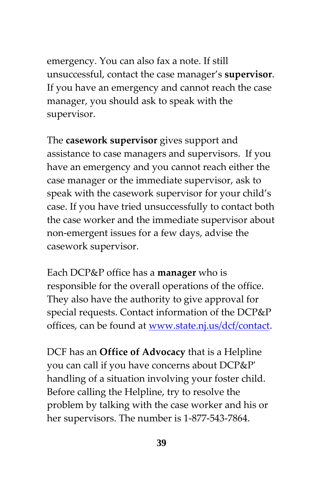emergency. You can also fax a note. If still unsuccessful, contact the case manager's **supervisor**. If you have an emergency and cannot reach the case manager, you should ask to speak with the supervisor.

The **casework supervisor** gives support and assistance to case managers and supervisors. If you have an emergency and you cannot reach either the case manager or the immediate supervisor, ask to speak with the casework supervisor for your child's case. If you have tried unsuccessfully to contact both the case worker and the immediate supervisor about non-emergent issues for a few days, advise the casework supervisor.

Each DCP&P office has a **manager** who is responsible for the overall operations of the office. They also have the authority to give approval for special requests. Contact information of the DCP&P offices, can be found at [www.state.nj.us/dcf/contact.](http://www.state.nj.us/dcf/contact)

DCF has an **Office of Advocacy** that is a Helpline you can call if you have concerns about DCP&P' handling of a situation involving your foster child. Before calling the Helpline, try to resolve the problem by talking with the case worker and his or her supervisors. The number is 1-877-543-7864.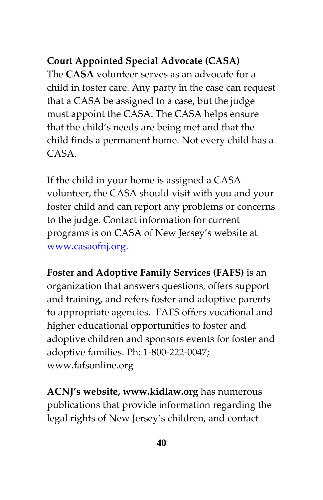# **Court Appointed Special Advocate (CASA)**

The **CASA** volunteer serves as an advocate for a child in foster care. Any party in the case can request that a CASA be assigned to a case, but the judge must appoint the CASA. The CASA helps ensure that the child's needs are being met and that the child finds a permanent home. Not every child has a CASA.

If the child in your home is assigned a CASA volunteer, the CASA should visit with you and your foster child and can report any problems or concerns to the judge. Contact information for current programs is on CASA of New Jersey's website at [www.casaofnj.org.](http://www.casaofnj.org/)

**Foster and Adoptive Family Services (FAFS)** is an organization that answers questions, offers support and training, and refers foster and adoptive parents to appropriate agencies. FAFS offers vocational and higher educational opportunities to foster and adoptive children and sponsors events for foster and adoptive families. Ph: 1-800-222-0047; www.fafsonline.org

**ACNJ's website, www.kidlaw.org** has numerous publications that provide information regarding the legal rights of New Jersey's children, and contact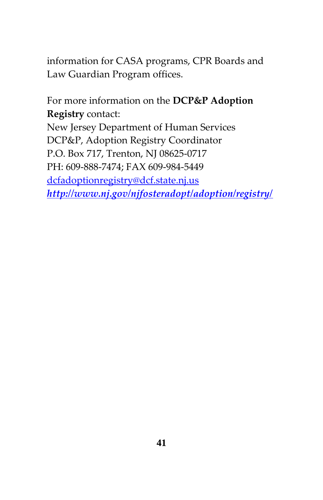information for CASA programs, CPR Boards and Law Guardian Program offices.

For more information on the **DCP&P Adoption Registry** contact: New Jersey Department of Human Services DCP&P, Adoption Registry Coordinator P.O. Box 717, Trenton, NJ 08625-0717 PH: 609-888-7474; FAX 609-984-5449 [dcfadoptionregistry@dcf.state.nj.us](mailto:dcfadoptionregistry@dcf.state.nj.us) *<http://www.nj.gov/njfosteradopt/adoption/registry/>*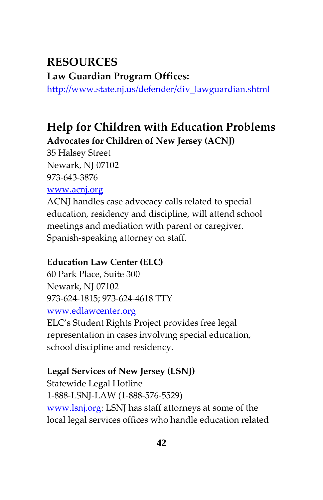# **RESOURCES**

**Law Guardian Program Offices:**

[http://www.state.nj.us/defender/div\\_lawguardian.shtml](http://www.state.nj.us/defender/div_lawguardian.shtml)

# **Help for Children with Education Problems Advocates for Children of New Jersey (ACNJ)**

35 Halsey Street Newark, NJ 07102 973-643-3876

#### [www.acnj.org](http://www.acnj.org/)

ACNJ handles case advocacy calls related to special education, residency and discipline, will attend school meetings and mediation with parent or caregiver. Spanish-speaking attorney on staff.

#### **Education Law Center (ELC)**

60 Park Place, Suite 300 Newark, NJ 07102 973-624-1815; 973-624-4618 TTY [www.edlawcenter.org](http://www.edlawcenter.org/)

ELC's Student Rights Project provides free legal representation in cases involving special education, school discipline and residency.

#### **Legal Services of New Jersey (LSNJ)**

Statewide Legal Hotline 1-888-LSNJ-LAW (1-888-576-5529) [www.lsnj.org:](http://www.lsnj.org/) LSNJ has staff attorneys at some of the local legal services offices who handle education related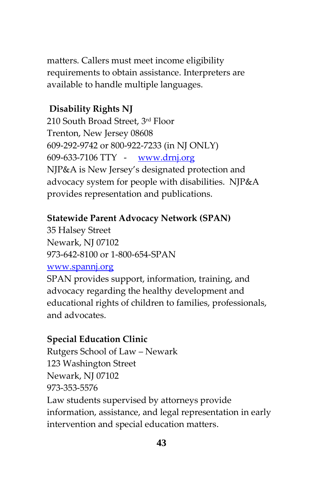matters. Callers must meet income eligibility requirements to obtain assistance. Interpreters are available to handle multiple languages.

#### **Disability Rights NJ**

210 South Broad Street, 3rd Floor Trenton, New Jersey 08608 609-292-9742 or 800-922-7233 (in NJ ONLY) 609-633-7106 TTY - [www.drnj.org](http://www.drnj.org/) NJP&A is New Jersey's designated protection and advocacy system for people with disabilities. NJP&A provides representation and publications.

#### **Statewide Parent Advocacy Network (SPAN)**

35 Halsey Street Newark, NJ 07102 973-642-8100 or 1-800-654-SPAN

#### [www.spannj.org](http://www.spannj.org/)

SPAN provides support, information, training, and advocacy regarding the healthy development and educational rights of children to families, professionals, and advocates.

#### **Special Education Clinic**

Rutgers School of Law – Newark 123 Washington Street Newark, NJ 07102 973-353-5576 Law students supervised by attorneys provide information, assistance, and legal representation in early intervention and special education matters.